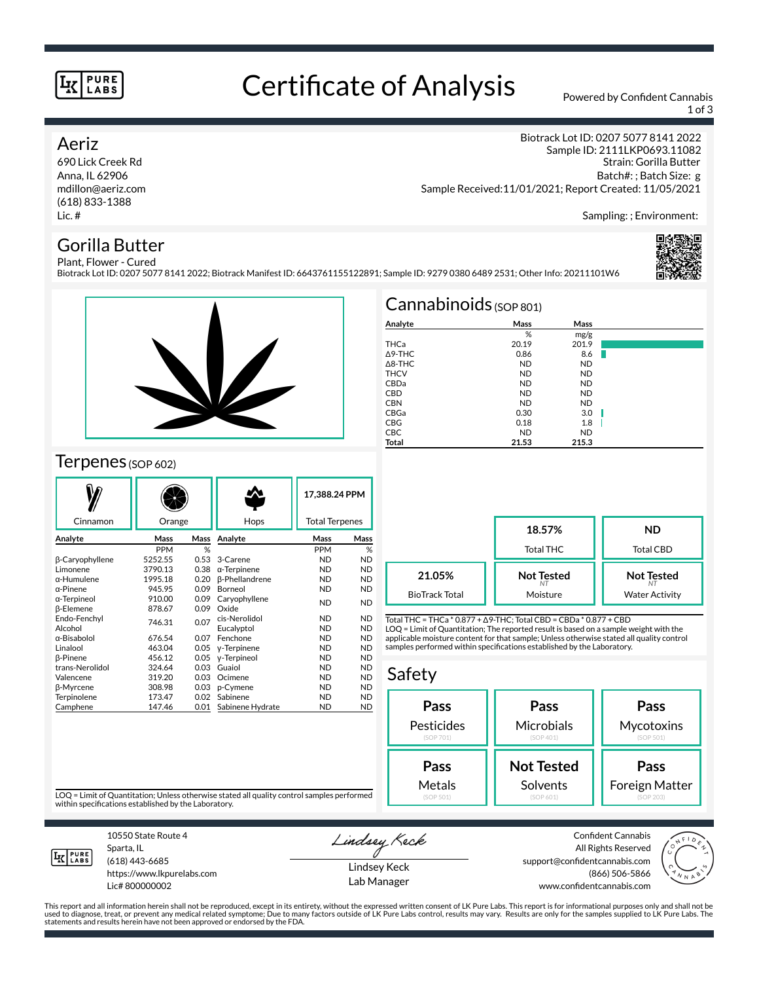### **PURE** LABS

# Certificate of Analysis Powered by Confident Cannabis

1 of 3

## Aeriz

690 Lick Creek Rd Anna, IL 62906 mdillon@aeriz.com (618) 833-1388 Lic. #

Biotrack Lot ID: 0207 5077 8141 2022 Sample ID: 2111LKP0693.11082 Strain: Gorilla Butter Batch#: ; Batch Size: g Sample Received:11/01/2021; Report Created: 11/05/2021

Sampling: ; Environment:

## Gorilla Butter

Plant, Flower - Cured Biotrack Lot ID: 0207 5077 8141 2022; Biotrack Manifest ID: 6643761155122891; Sample ID: 9279 0380 6489 2531; Other Info: 20211101W6





## Terpenes (SOP 602)

|                    |            |      |                       |                       | 17,388.24 PPM |  |
|--------------------|------------|------|-----------------------|-----------------------|---------------|--|
| Cinnamon           | Orange     |      | Hops                  | <b>Total Terpenes</b> |               |  |
| Analyte            | Mass       | Mass | Analyte               | Mass                  | Mass          |  |
|                    | <b>PPM</b> | %    |                       | <b>PPM</b>            | %             |  |
| β-Caryophyllene    | 5252.55    | 0.53 | 3-Carene              | <b>ND</b>             | <b>ND</b>     |  |
| Limonene           | 3790.13    | 0.38 | $\alpha$ -Terpinene   | <b>ND</b>             | <b>ND</b>     |  |
| $\alpha$ -Humulene | 1995.18    | 0.20 | <b>ß-Phellandrene</b> | <b>ND</b>             | <b>ND</b>     |  |
| $\alpha$ -Pinene   | 945.95     | 0.09 | Borneol               | <b>ND</b>             | <b>ND</b>     |  |
| α-Terpineol        | 910.00     | 0.09 | Caryophyllene         | <b>ND</b>             | <b>ND</b>     |  |
| β-Elemene          | 878.67     | 0.09 | Oxide                 |                       |               |  |
| Endo-Fenchyl       | 746.31     | 0.07 | cis-Nerolidol         | <b>ND</b>             | <b>ND</b>     |  |
| Alcohol            |            |      | Eucalyptol            | <b>ND</b>             | <b>ND</b>     |  |
| α-Bisabolol        | 676.54     | 0.07 | Fenchone              | <b>ND</b>             | <b>ND</b>     |  |
| Linalool           | 463.04     | 0.05 | y-Terpinene           | <b>ND</b>             | <b>ND</b>     |  |
| <b>B-Pinene</b>    | 456.12     | 0.05 | y-Terpineol           | <b>ND</b>             | <b>ND</b>     |  |
| trans-Nerolidol    | 324.64     | 0.03 | Guaiol                | <b>ND</b>             | <b>ND</b>     |  |
| Valencene          | 319.20     | 0.03 | Ocimene               | <b>ND</b>             | <b>ND</b>     |  |
| <b>ß-Myrcene</b>   | 308.98     | 0.03 | p-Cymene              | <b>ND</b>             | <b>ND</b>     |  |
| Terpinolene        | 173.47     | 0.02 | Sabinene              | <b>ND</b>             | <b>ND</b>     |  |
| Camphene           | 147.46     | 0.01 | Sabinene Hydrate      | <b>ND</b>             | <b>ND</b>     |  |

| $Cannabinoids$ (SOP 801) |           |           |  |  |  |  |  |
|--------------------------|-----------|-----------|--|--|--|--|--|
| Analyte                  | Mass      | Mass      |  |  |  |  |  |
|                          | %         | mg/g      |  |  |  |  |  |
| THCa                     | 20.19     | 201.9     |  |  |  |  |  |
| A9-THC                   | 0.86      | 8.6       |  |  |  |  |  |
| $\triangle$ 8-THC        | <b>ND</b> | <b>ND</b> |  |  |  |  |  |
| <b>THCV</b>              | <b>ND</b> | <b>ND</b> |  |  |  |  |  |
| CBDa                     | <b>ND</b> | <b>ND</b> |  |  |  |  |  |
| <b>CBD</b>               | <b>ND</b> | <b>ND</b> |  |  |  |  |  |
| <b>CBN</b>               | <b>ND</b> | <b>ND</b> |  |  |  |  |  |
| CBGa                     | 0.30      | 3.0       |  |  |  |  |  |
| <b>CBG</b>               | 0.18      | 1.8       |  |  |  |  |  |
| CBC                      | <b>ND</b> | <b>ND</b> |  |  |  |  |  |
| Total                    | 21.53     | 215.3     |  |  |  |  |  |

|                       | 18.57%<br><b>Total THC</b> | <b>ND</b><br><b>Total CBD</b> |
|-----------------------|----------------------------|-------------------------------|
| 21.05%                | <b>Not Tested</b>          | <b>Not Tested</b>             |
| <b>BioTrack Total</b> | Moisture                   | <b>Water Activity</b>         |

Total THC = THCa \* 0.877 + ∆9-THC; Total CBD = CBDa \* 0.877 + CBD LOQ = Limit of Quantitation; The reported result is based on a sample weight with the applicable moisture content for that sample; Unless otherwise stated all quality control samples performed within specifications established by the Laboratory.

# Safety



LOQ = Limit of Quantitation; Unless otherwise stated all quality control samples performed within specifications established by the Laboratory.



Sparta, IL (618) 443-6685

10550 State Route 4

https://www.lkpurelabs.com Lic# 800000002

Lindsey Keck

Lindsey Keck Lab Manager

Confident Cannabis All Rights Reserved support@confidentcannabis.com (866) 506-5866 www.confidentcannabis.com



This report and all information herein shall not be reproduced, except in its entirety, without the expressed written consent of LK Pure Labs. This report is for informational purposes only and shall not be<br>used to diagnos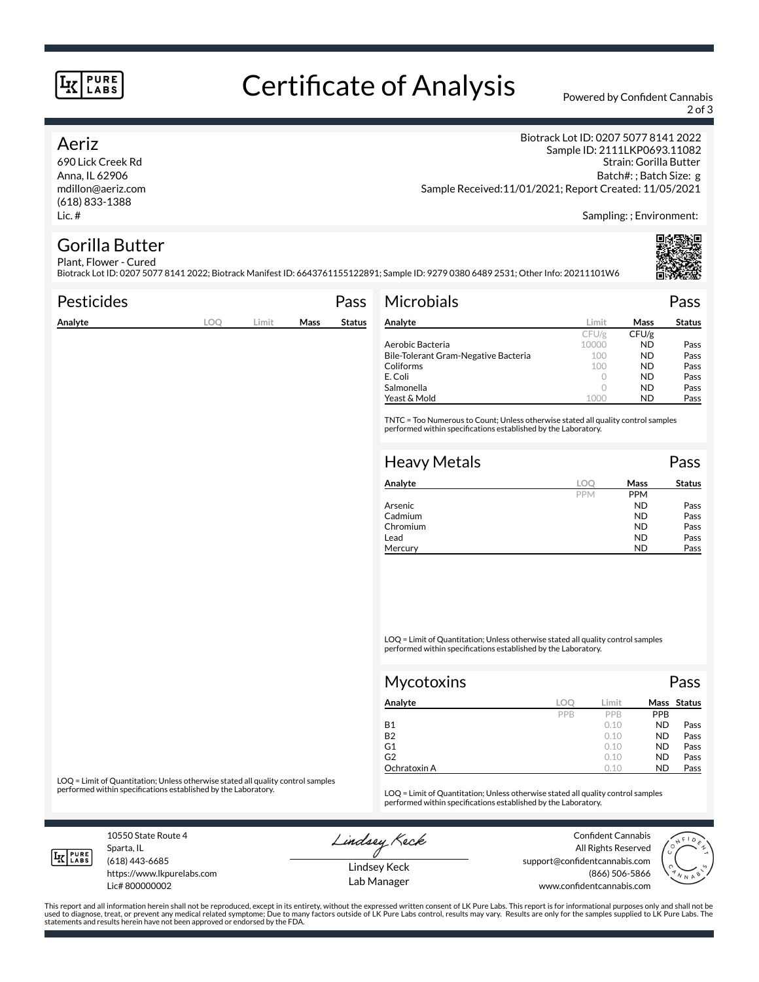### **PURE LABS**

# Certificate of Analysis Powered by Confident Cannabis

2 of 3

### Aeriz

690 Lick Creek Rd Anna, IL 62906 mdillon@aeriz.com (618) 833-1388 Lic. #

Biotrack Lot ID: 0207 5077 8141 2022 Sample ID: 2111LKP0693.11082 Strain: Gorilla Butter Batch#: ; Batch Size: g Sample Received:11/01/2021; Report Created: 11/05/2021

Sampling: ; Environment:

#### Gorilla Butter Plant, Flower - Cured

Biotrack Lot ID: 0207 5077 8141 2022; Biotrack Manifest ID: 6643761155122891; Sample ID: 9279 0380 6489 2531; Other Info: 20211101W6

| <b>Pesticides</b> |     |       |      | Pass          | <b>Microbials</b>                                                                                                                                   |            |             | Pass          |
|-------------------|-----|-------|------|---------------|-----------------------------------------------------------------------------------------------------------------------------------------------------|------------|-------------|---------------|
| Analyte           | LOQ | Limit | Mass | <b>Status</b> | Analyte                                                                                                                                             | Limit      | <b>Mass</b> | <b>Status</b> |
|                   |     |       |      |               |                                                                                                                                                     | CFU/g      | CFU/g       |               |
|                   |     |       |      |               | Aerobic Bacteria                                                                                                                                    | 10000      | ND.         | Pass          |
|                   |     |       |      |               | Bile-Tolerant Gram-Negative Bacteria                                                                                                                | 100        | ND.         | Pass          |
|                   |     |       |      |               | Coliforms                                                                                                                                           | 100        | ND.         | Pass          |
|                   |     |       |      |               | E. Coli                                                                                                                                             | $\circ$    | ND.         | Pass          |
|                   |     |       |      |               | Salmonella                                                                                                                                          | $\circ$    | ND.         | Pass          |
|                   |     |       |      |               | Yeast & Mold                                                                                                                                        | 1000       | ND          | Pass          |
|                   |     |       |      |               | TNTC = Too Numerous to Count; Unless otherwise stated all quality control samples<br>performed within specifications established by the Laboratory. |            |             |               |
|                   |     |       |      |               | <b>Heavy Metals</b>                                                                                                                                 |            |             | Pass          |
|                   |     |       |      |               | Analyte                                                                                                                                             | LOQ        | Mass        | <b>Status</b> |
|                   |     |       |      |               |                                                                                                                                                     | <b>PPM</b> | <b>PPM</b>  |               |
|                   |     |       |      |               | Arsenic                                                                                                                                             |            | <b>ND</b>   | Pass          |

LOQ = Limit of Quantitation; Unless otherwise stated all quality control samples performed within specifications established by the Laboratory.

| Mycotoxins   |     |       |            | Pass        |
|--------------|-----|-------|------------|-------------|
| Analyte      | LOC | Limit |            | Mass Status |
|              | PPB | PPB   | <b>PPB</b> |             |
| <b>B1</b>    |     | 0.10  | <b>ND</b>  | Pass        |
| <b>B2</b>    |     | 0.10  | <b>ND</b>  | Pass        |
| G1           |     | 0.10  | <b>ND</b>  | Pass        |
| G2           |     | 0.10  | <b>ND</b>  | Pass        |
| Ochratoxin A |     | 0.10  | <b>ND</b>  | Pass        |

Cadmium ND Pass<br>
Chromium ND Pass Chromium Pass Lead **ND** Pass Mercury **ND** Pass

LOQ = Limit of Quantitation; Unless otherwise stated all quality control samples<br>performed within specifications established by the Laboratory.

LOQ = Limit of Quantitation; Unless otherwise stated all quality control samples performed within specifications established by the Laboratory.

10550 State Route 4 Sparta, IL (618) 443-6685

**LK** LABS

Lic# 800000002

https://www.lkpurelabs.com

Lindsey Keck

Confident Cannabis All Rights Reserved support@confidentcannabis.com (866) 506-5866 www.confidentcannabis.com



Lindsey Keck Lab Manager

This report and all information herein shall not be reproduced, except in its entirety, without the expressed written consent of LK Pure Labs. This report is for informational purposes only and shall not be<br>used to diagnos statements and results herein have not been approved or endorsed by the FDA.